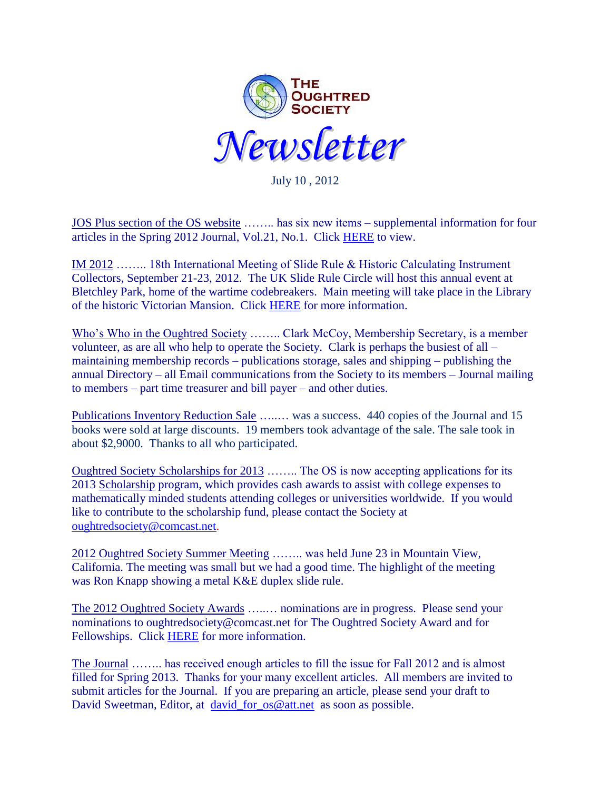

July 10 , 2012

JOS Plus section of the OS website …….. has six new items – supplemental information for four articles in the Spring 2012 Journal, Vol.21, No.1. Click [HERE](http://www.oughtred.org/josplus.shtml) to view.

IM 2012 …….. 18th International Meeting of Slide Rule & Historic Calculating Instrument Collectors, September 21-23, 2012. The UK Slide Rule Circle will host this annual event at Bletchley Park, home of the wartime codebreakers. Main meeting will take place in the Library of the historic Victorian Mansion. Click [HERE](http://www.oughtred.org/meets.shtml) for more information.

Who's Who in the Oughtred Society …….. Clark McCoy, Membership Secretary, is a member volunteer, as are all who help to operate the Society. Clark is perhaps the busiest of all – maintaining membership records – publications storage, sales and shipping – publishing the annual Directory – all Email communications from the Society to its members – Journal mailing to members – part time treasurer and bill payer – and other duties.

Publications Inventory Reduction Sale ........ was a success. 440 copies of the Journal and 15 books were sold at large discounts. 19 members took advantage of the sale. The sale took in about \$2,9000. Thanks to all who participated.

Oughtred Society Scholarships for 2013 …….. The OS is now accepting applications for its 2013 [Scholarship](http://www.oughtred.org/scholarships.shtml) program, which provides cash awards to assist with college expenses to mathematically minded students attending colleges or universities worldwide. If you would like to contribute to the scholarship fund, please contact the Society at [oughtredsociety@comcast.net.](mailto:oughtredsociety@comcast.net)

2012 Oughtred Society Summer Meeting …….. was held June 23 in Mountain View, California. The meeting was small but we had a good time. The highlight of the meeting was Ron Knapp showing a metal K&E duplex slide rule.

The 2012 Oughtred Society Awards …..… nominations are in progress. Please send your nominations to oughtredsociety@comcast.net for The Oughtred Society Award and for Fellowships. Click [HERE](http://www.oughtred.org/awards/OS_Award_procedure_V5_2010.pdf) for more information.

The Journal …….. has received enough articles to fill the issue for Fall 2012 and is almost filled for Spring 2013. Thanks for your many excellent articles. All members are invited to submit articles for the Journal. If you are preparing an article, please send your draft to David Sweetman, Editor, at [david\\_for\\_os@att.net](mailto:david_for_os@att.net) as soon as possible.